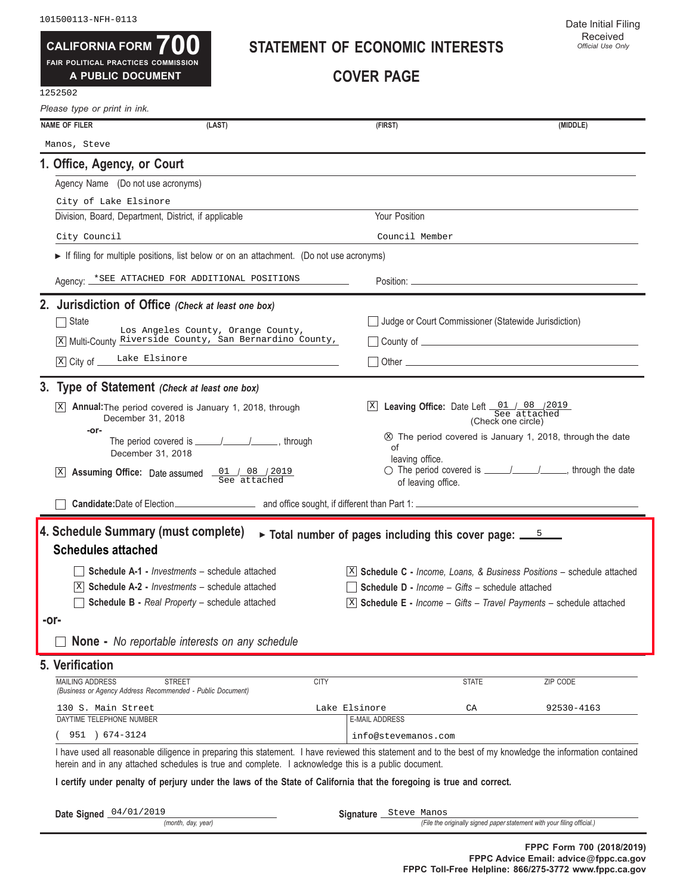**700 FAIR POLITICAL PRACTICES COMMISSION CALIFORNIA FORM**

**A PUBLIC DOCUMENT**

#### **STATEMENT OF ECONOMIC INTERESTS**

**COVER PAGE**

| Please type or print in ink.                                                         |                                                                                                                                                                                                                                                                   |             |                                                                                 |                                                               |                                                                                                                                                                                                                                |
|--------------------------------------------------------------------------------------|-------------------------------------------------------------------------------------------------------------------------------------------------------------------------------------------------------------------------------------------------------------------|-------------|---------------------------------------------------------------------------------|---------------------------------------------------------------|--------------------------------------------------------------------------------------------------------------------------------------------------------------------------------------------------------------------------------|
| <b>NAME OF FILER</b>                                                                 | (LAST)                                                                                                                                                                                                                                                            |             | (FIRST)                                                                         |                                                               | (MIDDLE)                                                                                                                                                                                                                       |
| Manos, Steve                                                                         |                                                                                                                                                                                                                                                                   |             |                                                                                 |                                                               |                                                                                                                                                                                                                                |
| 1. Office, Agency, or Court                                                          |                                                                                                                                                                                                                                                                   |             |                                                                                 |                                                               |                                                                                                                                                                                                                                |
| Agency Name (Do not use acronyms)                                                    |                                                                                                                                                                                                                                                                   |             |                                                                                 |                                                               |                                                                                                                                                                                                                                |
| City of Lake Elsinore                                                                |                                                                                                                                                                                                                                                                   |             |                                                                                 |                                                               |                                                                                                                                                                                                                                |
| Division, Board, Department, District, if applicable                                 |                                                                                                                                                                                                                                                                   |             | Your Position                                                                   |                                                               |                                                                                                                                                                                                                                |
| City Council                                                                         |                                                                                                                                                                                                                                                                   |             | Council Member                                                                  |                                                               |                                                                                                                                                                                                                                |
|                                                                                      | $\triangleright$ If filing for multiple positions, list below or on an attachment. (Do not use acronyms)                                                                                                                                                          |             |                                                                                 |                                                               |                                                                                                                                                                                                                                |
|                                                                                      | Agency: *SEE ATTACHED FOR ADDITIONAL POSITIONS                                                                                                                                                                                                                    |             |                                                                                 |                                                               |                                                                                                                                                                                                                                |
|                                                                                      | 2. Jurisdiction of Office (Check at least one box)                                                                                                                                                                                                                |             |                                                                                 |                                                               |                                                                                                                                                                                                                                |
| State                                                                                | Los Angeles County, Orange County,                                                                                                                                                                                                                                |             |                                                                                 | Judge or Court Commissioner (Statewide Jurisdiction)          |                                                                                                                                                                                                                                |
|                                                                                      | X Multi-County Riverside County, San Bernardino County,                                                                                                                                                                                                           |             |                                                                                 |                                                               | $\Box$ County of $\Box$                                                                                                                                                                                                        |
| X City of Lake Elsinore                                                              |                                                                                                                                                                                                                                                                   |             |                                                                                 |                                                               | Other experiences and the state of the state of the state of the state of the state of the state of the state of the state of the state of the state of the state of the state of the state of the state of the state of the s |
|                                                                                      | 3. Type of Statement (Check at least one box)                                                                                                                                                                                                                     |             |                                                                                 |                                                               |                                                                                                                                                                                                                                |
| X                                                                                    | <b>Annual:</b> The period covered is January 1, 2018, through                                                                                                                                                                                                     |             |                                                                                 | Ex Leaving Office: Date Left 01 / 08 / 2019                   |                                                                                                                                                                                                                                |
| December 31, 2018                                                                    |                                                                                                                                                                                                                                                                   |             |                                                                                 | (Check one circle)                                            |                                                                                                                                                                                                                                |
| -or-                                                                                 |                                                                                                                                                                                                                                                                   |             | οf                                                                              |                                                               | The period covered is January 1, 2018, through the date                                                                                                                                                                        |
| December 31, 2018                                                                    |                                                                                                                                                                                                                                                                   |             | leaving office.                                                                 |                                                               |                                                                                                                                                                                                                                |
| $ {\rm X} $                                                                          | <b>Assuming Office:</b> Date assumed $\underbrace{01}$ / 08 / 2019                                                                                                                                                                                                |             | of leaving office.                                                              |                                                               | ◯ The period covered is _______________________, through the date                                                                                                                                                              |
|                                                                                      | Candidate: Date of Election<br>and office sought, if different than Part 1:                                                                                                                                                                                       |             |                                                                                 |                                                               |                                                                                                                                                                                                                                |
| 4. Schedule Summary (must complete)                                                  |                                                                                                                                                                                                                                                                   |             | $\triangleright$ Total number of pages including this cover page: $\frac{5}{2}$ |                                                               |                                                                                                                                                                                                                                |
| <b>Schedules attached</b>                                                            |                                                                                                                                                                                                                                                                   |             |                                                                                 |                                                               |                                                                                                                                                                                                                                |
|                                                                                      | <b>Schedule A-1 - Investments - schedule attached</b>                                                                                                                                                                                                             |             |                                                                                 |                                                               | $[X]$ Schedule C - Income, Loans, & Business Positions – schedule attached                                                                                                                                                     |
|                                                                                      | <b>Schedule A-2 - Investments – schedule attached</b>                                                                                                                                                                                                             |             |                                                                                 | <b>Schedule D</b> - <i>Income – Gifts – schedule attached</i> |                                                                                                                                                                                                                                |
|                                                                                      | Schedule B - Real Property - schedule attached                                                                                                                                                                                                                    |             |                                                                                 |                                                               | $\boxed{\text{X}}$ Schedule E - Income - Gifts - Travel Payments - schedule attached                                                                                                                                           |
| -or-                                                                                 |                                                                                                                                                                                                                                                                   |             |                                                                                 |                                                               |                                                                                                                                                                                                                                |
|                                                                                      | <b>None -</b> No reportable interests on any schedule                                                                                                                                                                                                             |             |                                                                                 |                                                               |                                                                                                                                                                                                                                |
| 5. Verification                                                                      |                                                                                                                                                                                                                                                                   |             |                                                                                 |                                                               |                                                                                                                                                                                                                                |
| <b>MAILING ADDRESS</b><br>(Business or Agency Address Recommended - Public Document) | <b>STREET</b>                                                                                                                                                                                                                                                     | <b>CITY</b> |                                                                                 | <b>STATE</b>                                                  | ZIP CODE                                                                                                                                                                                                                       |
| 130 S. Main Street                                                                   |                                                                                                                                                                                                                                                                   |             | Lake Elsinore                                                                   | CA                                                            | 92530-4163                                                                                                                                                                                                                     |
| DAYTIME TELEPHONE NUMBER                                                             |                                                                                                                                                                                                                                                                   |             | <b>E-MAIL ADDRESS</b>                                                           |                                                               |                                                                                                                                                                                                                                |
| $674 - 3124$<br>951                                                                  |                                                                                                                                                                                                                                                                   |             | info@stevemanos.com                                                             |                                                               |                                                                                                                                                                                                                                |
|                                                                                      | I have used all reasonable diligence in preparing this statement. I have reviewed this statement and to the best of my knowledge the information contained<br>herein and in any attached schedules is true and complete. I acknowledge this is a public document. |             |                                                                                 |                                                               |                                                                                                                                                                                                                                |
|                                                                                      | I certify under penalty of perjury under the laws of the State of California that the foregoing is true and correct.                                                                                                                                              |             |                                                                                 |                                                               |                                                                                                                                                                                                                                |
| Date Signed 04/01/2019                                                               |                                                                                                                                                                                                                                                                   |             | Signature Steve Manos                                                           |                                                               |                                                                                                                                                                                                                                |
|                                                                                      | (month, day, year)                                                                                                                                                                                                                                                |             |                                                                                 |                                                               | (File the originally signed paper statement with your filing official.)                                                                                                                                                        |
|                                                                                      |                                                                                                                                                                                                                                                                   |             |                                                                                 |                                                               | $FDDO E2$ $TADO (00400040)$                                                                                                                                                                                                    |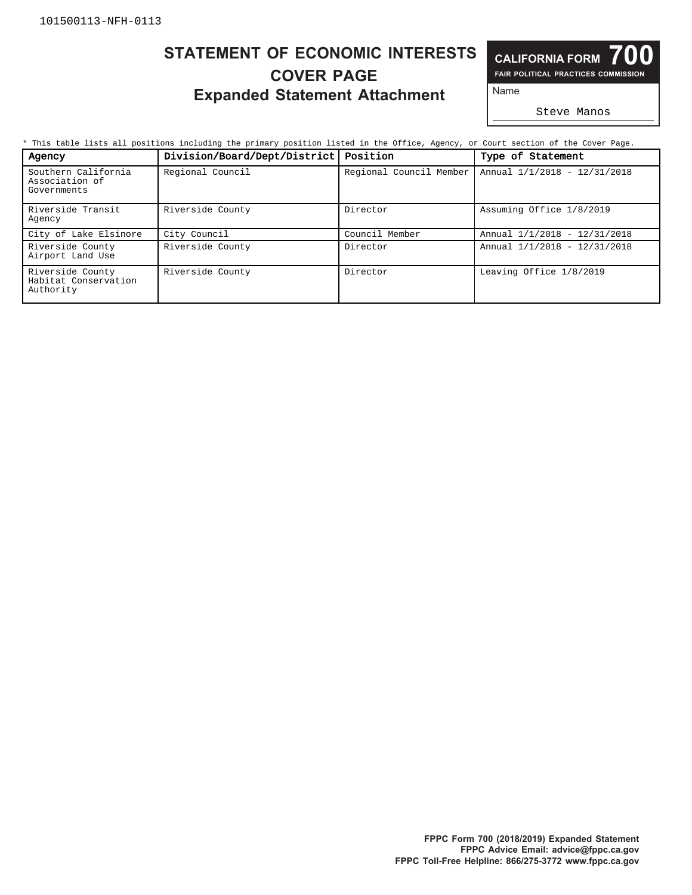# **COVER PAGE Expanded Statement Attachment** Name **STATEMENT OF ECONOMIC INTERESTS**

**700 FAIR POLITICAL PRACTICES COMMISSION CALIFORNIA FORM**

Steve Manos

| Agency                                                | Division/Board/Dept/District   Position |                         | Type of Statement            |
|-------------------------------------------------------|-----------------------------------------|-------------------------|------------------------------|
| Southern California<br>Association of<br>Governments  | Regional Council                        | Regional Council Member | Annual 1/1/2018 - 12/31/2018 |
| Riverside Transit<br>Agency                           | Riverside County                        | Director                | Assuming Office 1/8/2019     |
| City of Lake Elsinore                                 | City Council                            | Council Member          | Annual 1/1/2018 - 12/31/2018 |
| Riverside County<br>Airport Land Use                  | Riverside County                        | Director                | Annual 1/1/2018 - 12/31/2018 |
| Riverside County<br>Habitat Conservation<br>Authority | Riverside County                        | Director                | Leaving Office 1/8/2019      |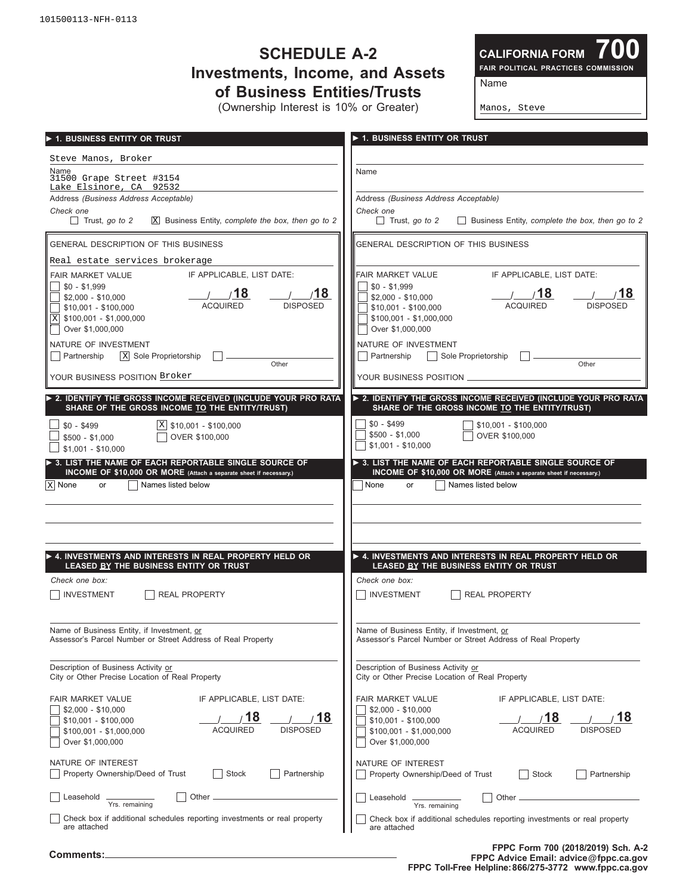# **SCHEDULE A-2 Investments, Income, and Assets of Business Entities/Trusts**

(Ownership Interest is 10% or Greater)

**700 FAIR POLITICAL PRACTICES COMMISSION CALIFORNIA FORM**

Name

Manos, Steve

| 1. BUSINESS ENTITY OR TRUST                                                 | ▶ 1. BUSINESS ENTITY OR TRUST                                                       |
|-----------------------------------------------------------------------------|-------------------------------------------------------------------------------------|
| Steve Manos, Broker                                                         |                                                                                     |
| Name<br>31500 Grape Street #3154<br>Lake Elsinore, CA 92532                 | Name                                                                                |
| Address (Business Address Acceptable)                                       | Address (Business Address Acceptable)                                               |
| Check one                                                                   | Check one                                                                           |
| Trust, go to 2                                                              | Trust, go to 2                                                                      |
| $X$ Business Entity, complete the box, then go to 2                         | Business Entity, complete the box, then go to 2                                     |
| <b>GENERAL DESCRIPTION OF THIS BUSINESS</b>                                 | GENERAL DESCRIPTION OF THIS BUSINESS                                                |
| Real estate services brokerage                                              |                                                                                     |
| IF APPLICABLE, LIST DATE:                                                   | FAIR MARKET VALUE                                                                   |
| FAIR MARKET VALUE                                                           | IF APPLICABLE. LIST DATE:                                                           |
| $\frac{1}{2}$ \$0 - \$1,999                                                 | $$0 - $1,999$                                                                       |
| 18                                                                          | 18/                                                                                 |
| 18                                                                          | 18                                                                                  |
| $$2,000 - $10,000$                                                          | $$2,000 - $10,000$                                                                  |
| <b>ACQUIRED</b>                                                             | <b>ACQUIRED</b>                                                                     |
| <b>DISPOSED</b>                                                             | <b>DISPOSED</b>                                                                     |
| $$10,001 - $100,000$                                                        | $$10,001 - $100,000$                                                                |
| $\vert X \vert$ \$100,001 - \$1,000,000                                     | $$100,001 - $1,000,000$                                                             |
| Over \$1,000,000                                                            | Over \$1,000,000                                                                    |
| NATURE OF INVESTMENT                                                        | NATURE OF INVESTMENT                                                                |
| X Sole Proprietorship                                                       | Sole Proprietorship                                                                 |
| Partnership                                                                 | Partnership                                                                         |
| Other                                                                       | Other                                                                               |
| YOUR BUSINESS POSITION Broker                                               | YOUR BUSINESS POSITION _                                                            |
| > 2. IDENTIFY THE GROSS INCOME RECEIVED (INCLUDE YOUR PRO RATA              | > 2. IDENTIFY THE GROSS INCOME RECEIVED (INCLUDE YOUR PRO RATA                      |
| SHARE OF THE GROSS INCOME TO THE ENTITY/TRUST)                              | SHARE OF THE GROSS INCOME TO THE ENTITY/TRUST)                                      |
| $X$ \$10,001 - \$100,000                                                    | $$0 - $499$                                                                         |
| $$0 - $499$                                                                 | $$10.001 - $100.000$                                                                |
| OVER \$100,000                                                              | $$500 - $1,000$                                                                     |
| $$500 - $1,000$                                                             | OVER \$100,000                                                                      |
| $$1,001 - $10,000$                                                          | $$1,001 - $10,000$                                                                  |
| $\triangleright$ 3. LIST THE NAME OF EACH REPORTABLE SINGLE SOURCE OF       | $\triangleright$ 3. LIST THE NAME OF EACH REPORTABLE SINGLE SOURCE OF               |
| INCOME OF \$10,000 OR MORE (Attach a separate sheet if necessary.)          | INCOME OF \$10,000 OR MORE (Attach a separate sheet if necessary.)                  |
| x   None                                                                    | Names listed below                                                                  |
| Names listed below                                                          | None                                                                                |
| or                                                                          | or                                                                                  |
|                                                                             |                                                                                     |
|                                                                             |                                                                                     |
| $\blacktriangleright$ 4. INVESTMENTS AND INTERESTS IN REAL PROPERTY HELD OR | A. INVESTMENTS AND INTERESTS IN REAL PROPERTY HELD OR                               |
| LEASED BY THE BUSINESS ENTITY OR TRUST                                      | LEASED BY THE BUSINESS ENTITY OR TRUST                                              |
| Check one box:                                                              | Check one box:                                                                      |
| <b>REAL PROPERTY</b>                                                        | <b>INVESTMENT</b>                                                                   |
| <b>INVESTMENT</b>                                                           | <b>REAL PROPERTY</b>                                                                |
| Name of Business Entity, if Investment, or                                  | Name of Business Entity, if Investment, or                                          |
| Assessor's Parcel Number or Street Address of Real Property                 | Assessor's Parcel Number or Street Address of Real Property                         |
| Description of Business Activity or                                         | Description of Business Activity or                                                 |
| City or Other Precise Location of Real Property                             | City or Other Precise Location of Real Property                                     |
| FAIR MARKET VALUE                                                           | FAIR MARKET VALUE                                                                   |
| IF APPLICABLE, LIST DATE:                                                   | IF APPLICABLE, LIST DATE:                                                           |
| $$2,000 - $10,000$                                                          | $$2,000 - $10,000$                                                                  |
| 18                                                                          | /18                                                                                 |
| $\overline{\bf 18}$                                                         | 18                                                                                  |
| $$10,001 - $100,000$                                                        | $$10,001 - $100,000$                                                                |
| <b>DISPOSED</b>                                                             | <b>ACQUIRED</b>                                                                     |
| <b>ACQUIRED</b>                                                             | <b>DISPOSED</b>                                                                     |
| $$100,001 - $1,000,000$                                                     | $$100,001 - $1,000,000$                                                             |
| Over \$1,000,000                                                            | Over \$1,000,000                                                                    |
| NATURE OF INTEREST                                                          | NATURE OF INTEREST                                                                  |
| Property Ownership/Deed of Trust                                            | Property Ownership/Deed of Trust                                                    |
| Stock                                                                       | Stock                                                                               |
| Partnership                                                                 | Partnership                                                                         |
| Other.                                                                      | Other.                                                                              |
| Leasehold _                                                                 | Leasehold                                                                           |
| Yrs. remaining                                                              | Yrs. remaining                                                                      |
| Check box if additional schedules reporting investments or real property    | Check box if additional schedules reporting investments or real property            |
| are attached                                                                | are attached                                                                        |
| Comments:                                                                   | FPPC Form 700 (2018/2019) Sch. A-2<br><b>FPPC Advice Email: advice @fnnc.ca.gov</b> |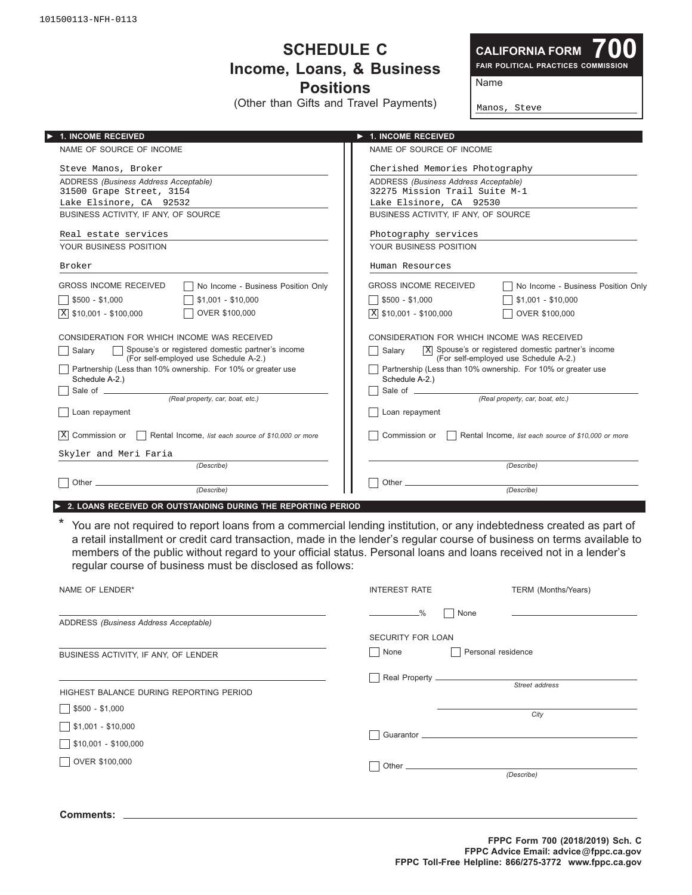101500113-NFH-0113

#### **SCHEDULE C** Income, Loans, & Business **Positions**

(Other than Gifts and Travel Payments)

**CALIFORNIA FORM**

**700 FAIR POLITICAL PRACTICES COMMISSION**

Name

Manos, Steve

| <b>1. INCOME RECEIVED</b>                                                                             | $\blacktriangleright$ 1. INCOME RECEIVED                                                                           |  |  |
|-------------------------------------------------------------------------------------------------------|--------------------------------------------------------------------------------------------------------------------|--|--|
| NAME OF SOURCE OF INCOME                                                                              | NAME OF SOURCE OF INCOME                                                                                           |  |  |
| Steve Manos, Broker                                                                                   | Cherished Memories Photography                                                                                     |  |  |
| ADDRESS (Business Address Acceptable)                                                                 | ADDRESS (Business Address Acceptable)                                                                              |  |  |
| 31500 Grape Street, 3154                                                                              | 32275 Mission Trail Suite M-1                                                                                      |  |  |
| Lake Elsinore, CA 92532                                                                               | Lake Elsinore, CA 92530                                                                                            |  |  |
| BUSINESS ACTIVITY, IF ANY, OF SOURCE                                                                  | BUSINESS ACTIVITY, IF ANY, OF SOURCE                                                                               |  |  |
| Real estate services                                                                                  | Photography services                                                                                               |  |  |
| YOUR BUSINESS POSITION                                                                                | YOUR BUSINESS POSITION                                                                                             |  |  |
| Broker                                                                                                | Human Resources                                                                                                    |  |  |
| <b>GROSS INCOME RECEIVED</b><br>No Income - Business Position Only                                    | <b>GROSS INCOME RECEIVED</b><br>No Income - Business Position Only                                                 |  |  |
| $$1.001 - $10.000$<br>$$500 - $1.000$                                                                 | $\Box$ \$500 - \$1.000<br>$$1.001 - $10.000$                                                                       |  |  |
| OVER \$100,000<br>$X$ \$10,001 - \$100,000                                                            | $\boxed{\text{X}}$ \$10,001 - \$100,000<br>OVER \$100,000                                                          |  |  |
| CONSIDERATION FOR WHICH INCOME WAS RECEIVED                                                           | CONSIDERATION FOR WHICH INCOME WAS RECEIVED                                                                        |  |  |
| □ Spouse's or registered domestic partner's income<br>Salarv<br>(For self-employed use Schedule A-2.) | $\overline{X}$ Spouse's or registered domestic partner's income<br>Salarv<br>(For self-employed use Schedule A-2.) |  |  |
| Partnership (Less than 10% ownership. For 10% or greater use<br>Schedule A-2.)                        | Partnership (Less than 10% ownership. For 10% or greater use<br>Schedule A-2.)                                     |  |  |
|                                                                                                       |                                                                                                                    |  |  |
| (Real property, car, boat, etc.)                                                                      | (Real property, car, boat, etc.)                                                                                   |  |  |
| Loan repayment                                                                                        | Loan repayment                                                                                                     |  |  |
| Commission or<br> x <br>Rental Income, list each source of \$10,000 or more                           | Commission or<br>Rental Income, list each source of \$10,000 or more                                               |  |  |
| Skyler and Meri Faria                                                                                 |                                                                                                                    |  |  |
| (Describe)                                                                                            | (Describe)                                                                                                         |  |  |
|                                                                                                       |                                                                                                                    |  |  |
| (Describe)                                                                                            | (Describe)                                                                                                         |  |  |

\* You are not required to report loans from a commercial lending institution, or any indebtedness created as part of a retail installment or credit card transaction, made in the lender's regular course of business on terms available to members of the public without regard to your official status. Personal loans and loans received not in a lender's regular course of business must be disclosed as follows:

| NAME OF LENDER*                                     | <b>INTEREST RATE</b>                    | TERM (Months/Years) |
|-----------------------------------------------------|-----------------------------------------|---------------------|
| ADDRESS (Business Address Acceptable)               | $\frac{0}{6}$<br>None                   |                     |
| BUSINESS ACTIVITY, IF ANY, OF LENDER                | <b>SECURITY FOR LOAN</b><br>None<br>- 1 | Personal residence  |
| HIGHEST BALANCE DURING REPORTING PERIOD             |                                         | Street address      |
| $$500 - $1,000$<br>$\frac{1}{2}$ \$1,001 - \$10,000 |                                         | City                |
| $$10,001 - $100,000$<br>OVER \$100,000              |                                         |                     |
|                                                     |                                         | (Describe)          |
|                                                     |                                         |                     |

**Comments:**